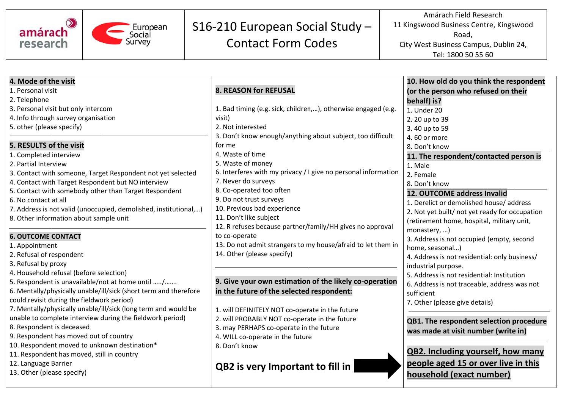

## S16-210 European Social Study -

**Contact Form Codes** 

Amárach Field Research 11 Kingswood Business Centre, Kingswood Road, City West Business Campus, Dublin 24, Tel: 1800 50 55 60

| 4. Mode of the visit                                             |                                                                | 10. How old do you think the respondent        |  |  |
|------------------------------------------------------------------|----------------------------------------------------------------|------------------------------------------------|--|--|
| 1. Personal visit                                                | <b>8. REASON for REFUSAL</b>                                   | (or the person who refused on their            |  |  |
| 2. Telephone                                                     |                                                                | behalf) is?                                    |  |  |
| 3. Personal visit but only intercom                              | 1. Bad timing (e.g. sick, children,), otherwise engaged (e.g.  | 1. Under 20                                    |  |  |
| 4. Info through survey organisation                              | visit)                                                         | 2. 20 up to 39                                 |  |  |
| 5. other (please specify)                                        | 2. Not interested                                              | 3.40 up to 59                                  |  |  |
|                                                                  | 3. Don't know enough/anything about subject, too difficult     | 4.60 or more                                   |  |  |
| 5. RESULTS of the visit                                          | for me                                                         | 8. Don't know                                  |  |  |
| 1. Completed interview                                           | 4. Waste of time                                               | 11. The respondent/contacted person is         |  |  |
| 2. Partial Interview                                             | 5. Waste of money                                              | 1. Male                                        |  |  |
| 3. Contact with someone, Target Respondent not yet selected      | 6. Interferes with my privacy / I give no personal information | 2. Female                                      |  |  |
| 4. Contact with Target Respondent but NO interview               | 7. Never do surveys                                            | 8. Don't know                                  |  |  |
| 5. Contact with somebody other than Target Respondent            | 8. Co-operated too often                                       | 12. OUTCOME address Invalid                    |  |  |
| 6. No contact at all                                             | 9. Do not trust surveys                                        | 1. Derelict or demolished house/address        |  |  |
| 7. Address is not valid (unoccupied, demolished, institutional,) | 10. Previous bad experience                                    | 2. Not yet built/ not yet ready for occupation |  |  |
| 8. Other information about sample unit                           | 11. Don't like subject                                         | (retirement home, hospital, military unit,     |  |  |
|                                                                  | 12. R refuses because partner/family/HH gives no approval      | monastery, )                                   |  |  |
| <b>6. OUTCOME CONTACT</b>                                        | to co-operate                                                  | 3. Address is not occupied (empty, second      |  |  |
| 1. Appointment                                                   | 13. Do not admit strangers to my house/afraid to let them in   | home, seasonal)                                |  |  |
| 2. Refusal of respondent                                         | 14. Other (please specify)                                     | 4. Address is not residential: only business/  |  |  |
| 3. Refusal by proxy                                              |                                                                | industrial purpose.                            |  |  |
| 4. Household refusal (before selection)                          |                                                                | 5. Address is not residential: Institution     |  |  |
| 5. Respondent is unavailable/not at home until /                 | 9. Give your own estimation of the likely co-operation         | 6. Address is not traceable, address was not   |  |  |
| 6. Mentally/physically unable/ill/sick (short term and therefore | in the future of the selected respondent:                      | sufficient                                     |  |  |
| could revisit during the fieldwork period)                       |                                                                | 7. Other (please give details)                 |  |  |
| 7. Mentally/physically unable/ill/sick (long term and would be   | 1. will DEFINITELY NOT co-operate in the future                |                                                |  |  |
| unable to complete interview during the fieldwork period)        | 2. will PROBABLY NOT co-operate in the future                  | QB1. The respondent selection procedure        |  |  |
| 8. Respondent is deceased                                        | 3. may PERHAPS co-operate in the future                        | was made at visit number (write in)            |  |  |
| 9. Respondent has moved out of country                           | 4. WILL co-operate in the future                               |                                                |  |  |
| 10. Respondent moved to unknown destination*                     | 8. Don't know                                                  |                                                |  |  |
| 11. Respondent has moved, still in country                       |                                                                | QB2. Including yourself, how many              |  |  |
| 12. Language Barrier                                             | QB2 is very Important to fill in                               | people aged 15 or over live in this            |  |  |
| 13. Other (please specify)                                       |                                                                | household (exact number)                       |  |  |
|                                                                  |                                                                |                                                |  |  |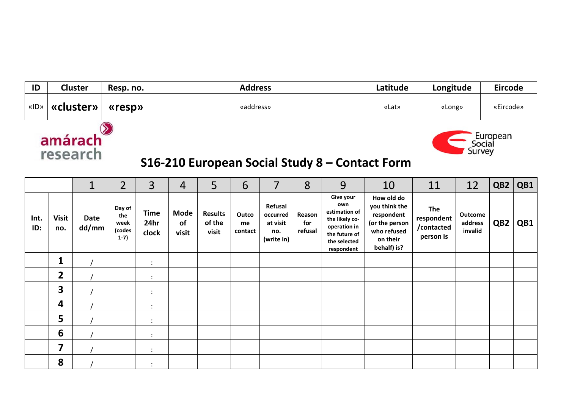| «ID»                                                                                                    |                     | «cluster»            | «resp»                                    |                              | «address»                  |                                   |                        |                                                      |                          | «Lat»                                                                                                              | «Long»                                                                                                |                                              | «Eircode»                            |                 |     |
|---------------------------------------------------------------------------------------------------------|---------------------|----------------------|-------------------------------------------|------------------------------|----------------------------|-----------------------------------|------------------------|------------------------------------------------------|--------------------------|--------------------------------------------------------------------------------------------------------------------|-------------------------------------------------------------------------------------------------------|----------------------------------------------|--------------------------------------|-----------------|-----|
| amárach<br>- European<br>Social<br>Survey<br>research<br>S16-210 European Social Study 8 - Contact Form |                     |                      |                                           |                              |                            |                                   |                        |                                                      |                          |                                                                                                                    |                                                                                                       |                                              |                                      |                 |     |
|                                                                                                         |                     | $\mathbf{1}$         | $\overline{2}$                            | $\overline{3}$               | $\overline{4}$             | 5                                 | 6                      | 7                                                    | 8                        | 9                                                                                                                  | 10                                                                                                    | 11                                           | 12                                   | QB <sub>2</sub> | QB1 |
| Int.<br>ID:                                                                                             | <b>Visit</b><br>no. | <b>Date</b><br>dd/mm | Day of<br>the<br>week<br>(codes<br>$1-7)$ | <b>Time</b><br>24hr<br>clock | <b>Mode</b><br>of<br>visit | <b>Results</b><br>of the<br>visit | Outco<br>me<br>contact | Refusal<br>occurred<br>at visit<br>no.<br>(write in) | Reason<br>for<br>refusal | Give your<br>own<br>estimation of<br>the likely co-<br>operation in<br>the future of<br>the selected<br>respondent | How old do<br>you think the<br>respondent<br>(or the person<br>who refused<br>on their<br>behalf) is? | The<br>respondent<br>/contacted<br>person is | <b>Outcome</b><br>address<br>invalid | QB <sub>2</sub> | QB1 |
|                                                                                                         | 1                   |                      |                                           | $\ddot{\phantom{a}}$         |                            |                                   |                        |                                                      |                          |                                                                                                                    |                                                                                                       |                                              |                                      |                 |     |
|                                                                                                         | $\overline{2}$      |                      |                                           | $\ddot{\phantom{a}}$         |                            |                                   |                        |                                                      |                          |                                                                                                                    |                                                                                                       |                                              |                                      |                 |     |
|                                                                                                         | 3                   |                      |                                           | $\ddot{\cdot}$               |                            |                                   |                        |                                                      |                          |                                                                                                                    |                                                                                                       |                                              |                                      |                 |     |
|                                                                                                         | 4                   |                      |                                           | $\ddot{\cdot}$               |                            |                                   |                        |                                                      |                          |                                                                                                                    |                                                                                                       |                                              |                                      |                 |     |
|                                                                                                         | 5                   |                      |                                           | $\ddot{\cdot}$               |                            |                                   |                        |                                                      |                          |                                                                                                                    |                                                                                                       |                                              |                                      |                 |     |
|                                                                                                         | 6                   |                      |                                           | $\ddot{\cdot}$               |                            |                                   |                        |                                                      |                          |                                                                                                                    |                                                                                                       |                                              |                                      |                 |     |
|                                                                                                         | 7                   |                      |                                           | $\cdot$                      |                            |                                   |                        |                                                      |                          |                                                                                                                    |                                                                                                       |                                              |                                      |                 |     |
|                                                                                                         | 8                   |                      |                                           | $\ddot{\phantom{a}}$         |                            |                                   |                        |                                                      |                          |                                                                                                                    |                                                                                                       |                                              |                                      |                 |     |

**Addr ress**

**Latitude**

**Longitud de**

**Eircod de**

**ID**

**Cluster**

**Resp. no.**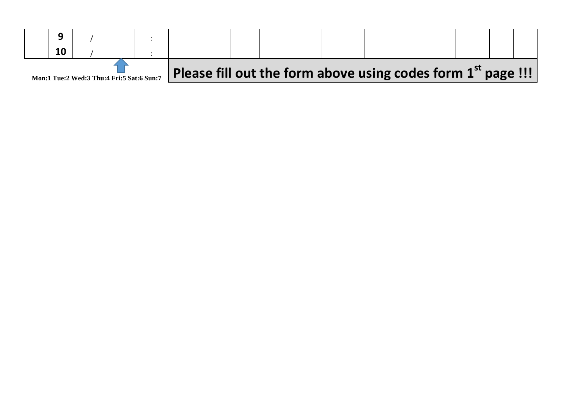